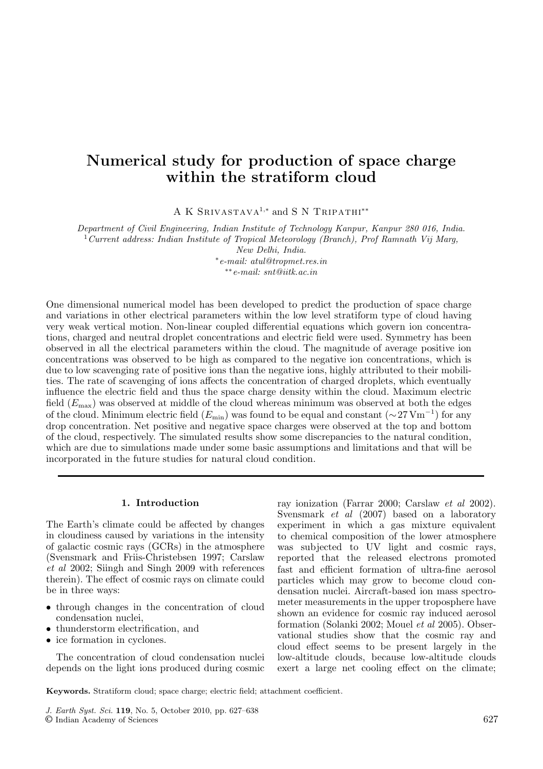# **Numerical study for production of space charge within the stratiform cloud**

A K Srivastava<sup>1</sup>*,*<sup>∗</sup> and S N Tripathi∗∗

*Department of Civil Engineering, Indian Institute of Technology Kanpur, Kanpur 280 016, India.* <sup>1</sup>*Current address: Indian Institute of Tropical Meteorology (Branch), Prof Ramnath Vij Marg,*

*New Delhi, India.*

∗*e-mail: atul@tropmet.res.in* ∗∗*e-mail: snt@iitk.ac.in*

One dimensional numerical model has been developed to predict the production of space charge and variations in other electrical parameters within the low level stratiform type of cloud having very weak vertical motion. Non-linear coupled differential equations which govern ion concentrations, charged and neutral droplet concentrations and electric field were used. Symmetry has been observed in all the electrical parameters within the cloud. The magnitude of average positive ion concentrations was observed to be high as compared to the negative ion concentrations, which is due to low scavenging rate of positive ions than the negative ions, highly attributed to their mobilities. The rate of scavenging of ions affects the concentration of charged droplets, which eventually influence the electric field and thus the space charge density within the cloud. Maximum electric field  $(E_{\text{max}})$  was observed at middle of the cloud whereas minimum was observed at both the edges of the cloud. Minimum electric field  $(E_{\min})$  was found to be equal and constant  $({\sim}27\,\mathrm{Vm}^{-1})$  for any drop concentration. Net positive and negative space charges were observed at the top and bottom of the cloud, respectively. The simulated results show some discrepancies to the natural condition, which are due to simulations made under some basic assumptions and limitations and that will be incorporated in the future studies for natural cloud condition.

#### **1. Introduction**

The Earth's climate could be affected by changes in cloudiness caused by variations in the intensity of galactic cosmic rays (GCRs) in the atmosphere (Svensmark and Friis-Christebsen 1997; Carslaw *et al* 2002; Siingh and Singh 2009 with references therein). The effect of cosmic rays on climate could be in three ways:

- through changes in the concentration of cloud condensation nuclei,
- thunderstorm electrification, and
- ice formation in cyclones.

The concentration of cloud condensation nuclei depends on the light ions produced during cosmic ray ionization (Farrar 2000; Carslaw *et al* 2002). Svensmark *et al* (2007) based on a laboratory experiment in which a gas mixture equivalent to chemical composition of the lower atmosphere was subjected to UV light and cosmic rays, reported that the released electrons promoted fast and efficient formation of ultra-fine aerosol particles which may grow to become cloud condensation nuclei. Aircraft-based ion mass spectrometer measurements in the upper troposphere have shown an evidence for cosmic ray induced aerosol formation (Solanki 2002; Mouel *et al* 2005). Observational studies show that the cosmic ray and cloud effect seems to be present largely in the low-altitude clouds, because low-altitude clouds exert a large net cooling effect on the climate;

**Keywords.** Stratiform cloud; space charge; electric field; attachment coefficient.

J. Earth Syst. Sci. **119**, No. 5, October 2010, pp. 627–638

<sup>©</sup> Indian Academy of Sciences 627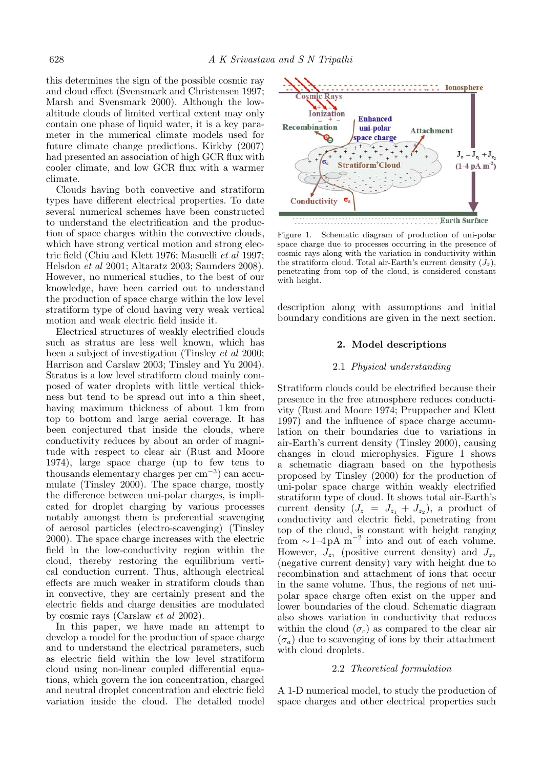this determines the sign of the possible cosmic ray and cloud effect (Svensmark and Christensen 1997; Marsh and Svensmark 2000). Although the lowaltitude clouds of limited vertical extent may only contain one phase of liquid water, it is a key parameter in the numerical climate models used for future climate change predictions. Kirkby (2007) had presented an association of high GCR flux with cooler climate, and low GCR flux with a warmer climate.

Clouds having both convective and stratiform types have different electrical properties. To date several numerical schemes have been constructed to understand the electrification and the production of space charges within the convective clouds, which have strong vertical motion and strong electric field (Chiu and Klett 1976; Masuelli *et al* 1997; Helsdon *et al* 2001; Altaratz 2003; Saunders 2008). However, no numerical studies, to the best of our knowledge, have been carried out to understand the production of space charge within the low level stratiform type of cloud having very weak vertical motion and weak electric field inside it.

Electrical structures of weakly electrified clouds such as stratus are less well known, which has been a subject of investigation (Tinsley *et al* 2000; Harrison and Carslaw 2003; Tinsley and Yu 2004). Stratus is a low level stratiform cloud mainly composed of water droplets with little vertical thickness but tend to be spread out into a thin sheet, having maximum thickness of about 1 km from top to bottom and large aerial coverage. It has been conjectured that inside the clouds, where conductivity reduces by about an order of magnitude with respect to clear air (Rust and Moore 1974), large space charge (up to few tens to thousands elementary charges per cm−<sup>3</sup>) can accumulate (Tinsley 2000). The space charge, mostly the difference between uni-polar charges, is implicated for droplet charging by various processes notably amongst them is preferential scavenging of aerosol particles (electro-scavenging) (Tinsley 2000). The space charge increases with the electric field in the low-conductivity region within the cloud, thereby restoring the equilibrium vertical conduction current. Thus, although electrical effects are much weaker in stratiform clouds than in convective, they are certainly present and the electric fields and charge densities are modulated by cosmic rays (Carslaw *et al* 2002).

In this paper, we have made an attempt to develop a model for the production of space charge and to understand the electrical parameters, such as electric field within the low level stratiform cloud using non-linear coupled differential equations, which govern the ion concentration, charged and neutral droplet concentration and electric field variation inside the cloud. The detailed model



Figure 1. Schematic diagram of production of uni-polar space charge due to processes occurring in the presence of cosmic rays along with the variation in conductivity within the stratiform cloud. Total air-Earth's current density  $(J_z)$ , penetrating from top of the cloud, is considered constant with height.

description along with assumptions and initial boundary conditions are given in the next section.

## **2. Model descriptions**

#### 2.1 *Physical understanding*

Stratiform clouds could be electrified because their presence in the free atmosphere reduces conductivity (Rust and Moore 1974; Pruppacher and Klett 1997) and the influence of space charge accumulation on their boundaries due to variations in air-Earth's current density (Tinsley 2000), causing changes in cloud microphysics. Figure 1 shows a schematic diagram based on the hypothesis proposed by Tinsley (2000) for the production of uni-polar space charge within weakly electrified stratiform type of cloud. It shows total air-Earth's current density  $(J_z = J_{z_1} + J_{z_2})$ , a product of conductivity and electric field, penetrating from top of the cloud, is constant with height ranging from  $\sim$ 1–4 pA m<sup>-2</sup> into and out of each volume. However,  $J_{z_1}$  (positive current density) and  $J_{z_2}$ (negative current density) vary with height due to recombination and attachment of ions that occur in the same volume. Thus, the regions of net unipolar space charge often exist on the upper and lower boundaries of the cloud. Schematic diagram also shows variation in conductivity that reduces within the cloud  $(\sigma_c)$  as compared to the clear air  $(\sigma_a)$  due to scavenging of ions by their attachment with cloud droplets.

#### 2.2 *Theoretical formulation*

A 1-D numerical model, to study the production of space charges and other electrical properties such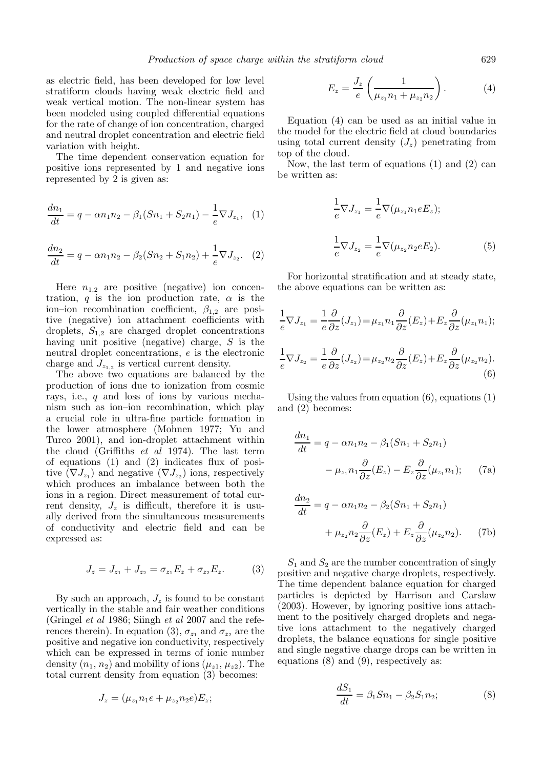as electric field, has been developed for low level stratiform clouds having weak electric field and weak vertical motion. The non-linear system has been modeled using coupled differential equations for the rate of change of ion concentration, charged and neutral droplet concentration and electric field variation with height.

The time dependent conservation equation for positive ions represented by 1 and negative ions represented by 2 is given as:

$$
\frac{dn_1}{dt} = q - \alpha n_1 n_2 - \beta_1 (Sn_1 + S_2 n_1) - \frac{1}{e} \nabla J_{z_1}, \quad (1)
$$

$$
\frac{dn_2}{dt} = q - \alpha n_1 n_2 - \beta_2 (Sn_2 + S_1 n_2) + \frac{1}{e} \nabla J_{z_2}.
$$
 (2)

Here  $n_{1,2}$  are positive (negative) ion concentration, q is the ion production rate,  $\alpha$  is the ion–ion recombination coefficient,  $\beta_{1,2}$  are positive (negative) ion attachment coefficients with droplets,  $S_{1,2}$  are charged droplet concentrations having unit positive (negative) charge, S is the neutral droplet concentrations, e is the electronic charge and  $J_{z_1}$  is vertical current density.

The above two equations are balanced by the production of ions due to ionization from cosmic rays, i.e., q and loss of ions by various mechanism such as ion–ion recombination, which play a crucial role in ultra-fine particle formation in the lower atmosphere (Mohnen 1977; Yu and Turco 2001), and ion-droplet attachment within the cloud (Griffiths *et al* 1974). The last term of equations (1) and (2) indicates flux of positive  $(\nabla J_{z_1})$  and negative  $(\nabla J_{z_2})$  ions, respectively which produces an imbalance between both the ions in a region. Direct measurement of total current density,  $J_z$  is difficult, therefore it is usually derived from the simultaneous measurements of conductivity and electric field and can be expressed as:

$$
J_z = J_{z_1} + J_{z_2} = \sigma_{z_1} E_z + \sigma_{z_2} E_z.
$$
 (3)

By such an approach,  $J_z$  is found to be constant vertically in the stable and fair weather conditions (Gringel *et al* 1986; Siingh *et al* 2007 and the references therein). In equation (3),  $\sigma_{z_1}$  and  $\sigma_{z_2}$  are the positive and negative ion conductivity, respectively which can be expressed in terms of ionic number density  $(n_1, n_2)$  and mobility of ions  $(\mu_{z1}, \mu_{z2})$ . The total current density from equation (3) becomes:

$$
J_z = (\mu_{z_1} n_1 e + \mu_{z_2} n_2 e) E_z;
$$

$$
E_z = \frac{J_z}{e} \left( \frac{1}{\mu_{z_1} n_1 + \mu_{z_2} n_2} \right). \tag{4}
$$

Equation (4) can be used as an initial value in the model for the electric field at cloud boundaries using total current density  $(J_z)$  penetrating from top of the cloud.

Now, the last term of equations (1) and (2) can be written as:

$$
\frac{1}{e}\nabla J_{z_1} = \frac{1}{e}\nabla(\mu_{z_1} n_1 e E_z);
$$

$$
\frac{1}{e}\nabla J_{z_2} = \frac{1}{e}\nabla(\mu_{z_2} n_2 e E_2).
$$
(5)

For horizontal stratification and at steady state, the above equations can be written as:

$$
\frac{1}{e}\nabla J_{z_1} = \frac{1}{e}\frac{\partial}{\partial z}(J_{z_1}) = \mu_{z_1}n_1\frac{\partial}{\partial z}(E_z) + E_z\frac{\partial}{\partial z}(\mu_{z_1}n_1);
$$
\n
$$
\frac{1}{e}\nabla J_{z_2} = \frac{1}{e}\frac{\partial}{\partial z}(J_{z_2}) = \mu_{z_2}n_2\frac{\partial}{\partial z}(E_z) + E_z\frac{\partial}{\partial z}(\mu_{z_2}n_2).
$$
\n(6)

Using the values from equation  $(6)$ , equations  $(1)$ and (2) becomes:

$$
\frac{dn_1}{dt} = q - \alpha n_1 n_2 - \beta_1 (Sn_1 + S_2 n_1)
$$

$$
- \mu_{z_1} n_1 \frac{\partial}{\partial z} (E_z) - E_z \frac{\partial}{\partial z} (\mu_{z_1} n_1); \qquad (7a)
$$

$$
\frac{dn_2}{dt} = q - \alpha n_1 n_2 - \beta_2 (Sn_1 + S_2 n_1)
$$

$$
+ \mu_{z_2} n_2 \frac{\partial}{\partial z} (E_z) + E_z \frac{\partial}{\partial z} (\mu_{z_2} n_2).
$$
 (7b)

 $S_1$  and  $S_2$  are the number concentration of singly positive and negative charge droplets, respectively. The time dependent balance equation for charged particles is depicted by Harrison and Carslaw (2003). However, by ignoring positive ions attachment to the positively charged droplets and negative ions attachment to the negatively charged droplets, the balance equations for single positive and single negative charge drops can be written in equations (8) and (9), respectively as:

$$
\frac{dS_1}{dt} = \beta_1 S n_1 - \beta_2 S_1 n_2; \tag{8}
$$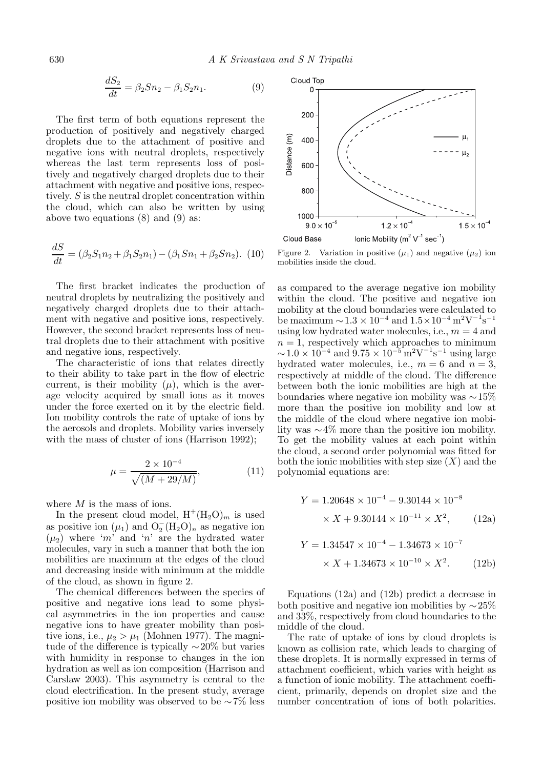$$
\frac{dS_2}{dt} = \beta_2 Sn_2 - \beta_1 S_2 n_1.
$$
 (9)

The first term of both equations represent the production of positively and negatively charged droplets due to the attachment of positive and negative ions with neutral droplets, respectively whereas the last term represents loss of positively and negatively charged droplets due to their attachment with negative and positive ions, respectively. S is the neutral droplet concentration within the cloud, which can also be written by using above two equations (8) and (9) as:

$$
\frac{dS}{dt} = (\beta_2 S_1 n_2 + \beta_1 S_2 n_1) - (\beta_1 S n_1 + \beta_2 S n_2). \tag{10}
$$

The first bracket indicates the production of neutral droplets by neutralizing the positively and negatively charged droplets due to their attachment with negative and positive ions, respectively. However, the second bracket represents loss of neutral droplets due to their attachment with positive and negative ions, respectively.

The characteristic of ions that relates directly to their ability to take part in the flow of electric current, is their mobility  $(\mu)$ , which is the average velocity acquired by small ions as it moves under the force exerted on it by the electric field. Ion mobility controls the rate of uptake of ions by the aerosols and droplets. Mobility varies inversely with the mass of cluster of ions (Harrison 1992);

$$
\mu = \frac{2 \times 10^{-4}}{\sqrt{(M + 29/M)}},\tag{11}
$$

where  $M$  is the mass of ions.

In the present cloud model,  $H^+(H_2O)_m$  is used as positive ion  $(\mu_1)$  and  $O_2^-(H_2O)_n$  as negative ion  $(\mu_2)$  where 'm' and 'n' are the hydrated water molecules, vary in such a manner that both the ion mobilities are maximum at the edges of the cloud and decreasing inside with minimum at the middle of the cloud, as shown in figure 2.

The chemical differences between the species of positive and negative ions lead to some physical asymmetries in the ion properties and cause negative ions to have greater mobility than positive ions, i.e.,  $\mu_2 > \mu_1$  (Mohnen 1977). The magnitude of the difference is typically  $\sim$ 20% but varies with humidity in response to changes in the ion hydration as well as ion composition (Harrison and Carslaw 2003). This asymmetry is central to the cloud electrification. In the present study, average positive ion mobility was observed to be ∼7% less



Figure 2. Variation in positive  $(\mu_1)$  and negative  $(\mu_2)$  ion mobilities inside the cloud.

as compared to the average negative ion mobility within the cloud. The positive and negative ion mobility at the cloud boundaries were calculated to be maximum  $\sim$  1.3 × 10<sup>-4</sup> and  $1.5 \times 10^{-4}$  m<sup>2</sup>V<sup>-1</sup>s<sup>-1</sup> using low hydrated water molecules, i.e.,  $m = 4$  and  $n = 1$ , respectively which approaches to minimum  $\sim$  1.0  $\times$  10<sup>-4</sup> and 9.75  $\times$  10<sup>-5</sup> m<sup>2</sup>V<sup>-1</sup>s<sup>-1</sup> using large hydrated water molecules, i.e.,  $m = 6$  and  $n = 3$ , respectively at middle of the cloud. The difference between both the ionic mobilities are high at the boundaries where negative ion mobility was ∼15% more than the positive ion mobility and low at the middle of the cloud where negative ion mobility was ∼4% more than the positive ion mobility. To get the mobility values at each point within the cloud, a second order polynomial was fitted for both the ionic mobilities with step size  $(X)$  and the polynomial equations are:

$$
Y = 1.20648 \times 10^{-4} - 9.30144 \times 10^{-8}
$$
  
× X + 9.30144 × 10<sup>-11</sup> × X<sup>2</sup>, (12a)

$$
Y = 1.34547 \times 10^{-4} - 1.34673 \times 10^{-7}
$$

$$
\times X + 1.34673 \times 10^{-10} \times X^{2}.
$$
 (12b)

Equations (12a) and (12b) predict a decrease in both positive and negative ion mobilities by  $\sim$ 25% and 33%, respectively from cloud boundaries to the middle of the cloud.

The rate of uptake of ions by cloud droplets is known as collision rate, which leads to charging of these droplets. It is normally expressed in terms of attachment coefficient, which varies with height as a function of ionic mobility. The attachment coefficient, primarily, depends on droplet size and the number concentration of ions of both polarities.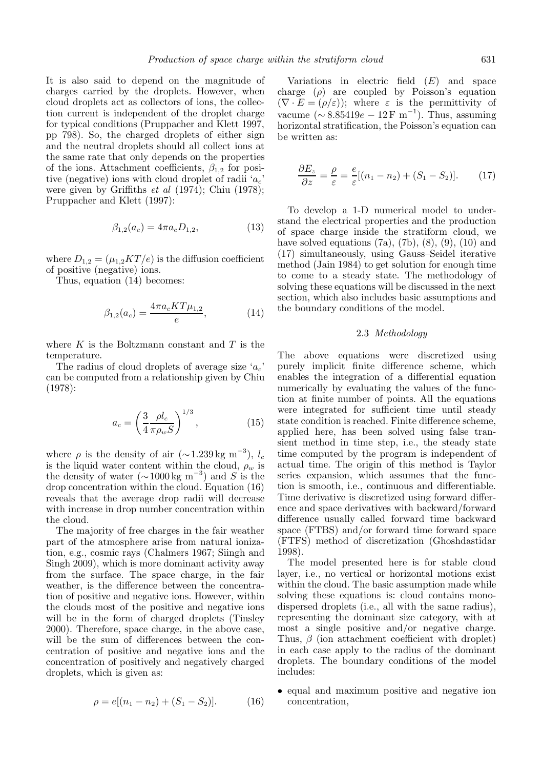It is also said to depend on the magnitude of charges carried by the droplets. However, when cloud droplets act as collectors of ions, the collection current is independent of the droplet charge for typical conditions (Pruppacher and Klett 1997, pp 798). So, the charged droplets of either sign and the neutral droplets should all collect ions at the same rate that only depends on the properties of the ions. Attachment coefficients,  $\beta_{1,2}$  for positive (negative) ions with cloud droplet of radii 'a*c*' were given by Griffiths *et al* (1974); Chiu (1978); Pruppacher and Klett (1997):

$$
\beta_{1,2}(a_c) = 4\pi a_c D_{1,2},\tag{13}
$$

where  $D_{1,2} = (\mu_{1,2}KT/e)$  is the diffusion coefficient of positive (negative) ions.

Thus, equation (14) becomes:

$$
\beta_{1,2}(a_c) = \frac{4\pi a_c KT \mu_{1,2}}{e},\tag{14}
$$

where  $K$  is the Boltzmann constant and  $T$  is the temperature.

The radius of cloud droplets of average size 'a*c*' can be computed from a relationship given by Chiu (1978):

$$
a_c = \left(\frac{3}{4} \frac{\rho l_c}{\pi \rho_w S}\right)^{1/3},\tag{15}
$$

where  $\rho$  is the density of air (∼1.239 kg m<sup>-3</sup>),  $l_c$ is the liquid water content within the cloud,  $\rho_w$  is the density of water  $(\sim 1000 \text{ kg m}^{-3})$  and S is the drop concentration within the cloud. Equation (16) reveals that the average drop radii will decrease with increase in drop number concentration within the cloud.

The majority of free charges in the fair weather part of the atmosphere arise from natural ionization, e.g., cosmic rays (Chalmers 1967; Siingh and Singh 2009), which is more dominant activity away from the surface. The space charge, in the fair weather, is the difference between the concentration of positive and negative ions. However, within the clouds most of the positive and negative ions will be in the form of charged droplets (Tinsley 2000). Therefore, space charge, in the above case, will be the sum of differences between the concentration of positive and negative ions and the concentration of positively and negatively charged droplets, which is given as:

$$
\rho = e[(n_1 - n_2) + (S_1 - S_2)].
$$
 (16)

Variations in electric field  $(E)$  and space charge  $(\rho)$  are coupled by Poisson's equation  $(\nabla \cdot E = (\rho/\varepsilon))$ ; where  $\varepsilon$  is the permittivity of vacume ( $\sim 8.85419e - 12 \,\mathrm{F m}^{-1}$ ). Thus, assuming horizontal stratification, the Poisson's equation can be written as:

$$
\frac{\partial E_z}{\partial z} = \frac{\rho}{\varepsilon} = \frac{e}{\varepsilon} [(n_1 - n_2) + (S_1 - S_2)]. \tag{17}
$$

To develop a 1-D numerical model to understand the electrical properties and the production of space charge inside the stratiform cloud, we have solved equations  $(7a)$ ,  $(7b)$ ,  $(8)$ ,  $(9)$ ,  $(10)$  and (17) simultaneously, using Gauss–Seidel iterative method (Jain 1984) to get solution for enough time to come to a steady state. The methodology of solving these equations will be discussed in the next section, which also includes basic assumptions and the boundary conditions of the model.

# 2.3 *Methodology*

The above equations were discretized using purely implicit finite difference scheme, which enables the integration of a differential equation numerically by evaluating the values of the function at finite number of points. All the equations were integrated for sufficient time until steady state condition is reached. Finite difference scheme, applied here, has been solved using false transient method in time step, i.e., the steady state time computed by the program is independent of actual time. The origin of this method is Taylor series expansion, which assumes that the function is smooth, i.e., continuous and differentiable. Time derivative is discretized using forward difference and space derivatives with backward/forward difference usually called forward time backward space (FTBS) and/or forward time forward space (FTFS) method of discretization (Ghoshdastidar 1998).

The model presented here is for stable cloud layer, i.e., no vertical or horizontal motions exist within the cloud. The basic assumption made while solving these equations is: cloud contains monodispersed droplets (i.e., all with the same radius), representing the dominant size category, with at most a single positive and/or negative charge. Thus,  $\beta$  (ion attachment coefficient with droplet) in each case apply to the radius of the dominant droplets. The boundary conditions of the model includes:

• equal and maximum positive and negative ion concentration,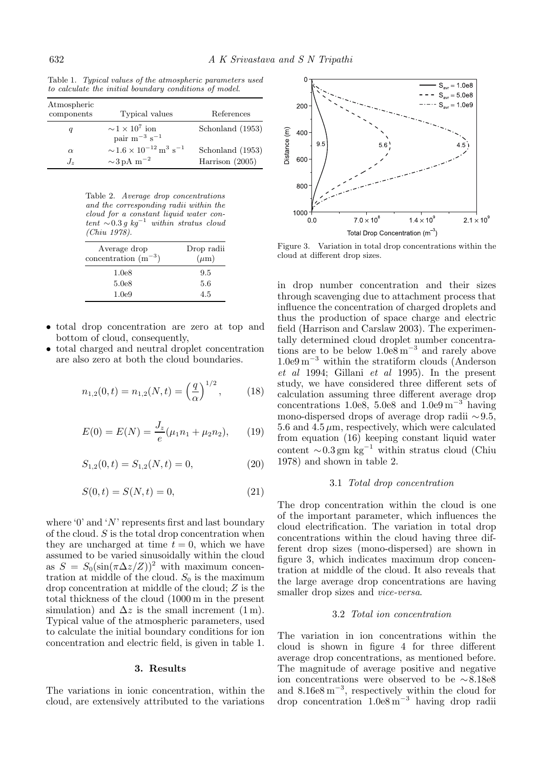Table 1. Typical values of the atmospheric parameters used to calculate the initial boundary conditions of model.

| Atmospheric<br>components | Typical values                                                | References        |
|---------------------------|---------------------------------------------------------------|-------------------|
| q                         | $\sim 1 \times 10^7$ ion<br>pair $m^{-3} s^{-1}$              | Schonland (1953)  |
| $\alpha$                  | $\sim$ 1.6 × 10 <sup>-12</sup> m <sup>3</sup> s <sup>-1</sup> | Schonland (1953)  |
| $J_{\gamma}$              | $\sim$ 3 pA m <sup>-2</sup>                                   | Harrison $(2005)$ |

Table 2. Average drop concentrations and the corresponding radii within the cloud for a constant liquid water content <sup>∼</sup>0.<sup>3</sup> g kg*−*<sup>1</sup> within stratus cloud (Chiu 1978).

| Average drop<br>concentration $(m^{-3})$ | Drop radii<br>$(\mu m)$ |
|------------------------------------------|-------------------------|
| 1.0 <sub>e8</sub>                        | 9.5                     |
| 5.0e8                                    | 5.6                     |
| 1.0e9                                    | 4.5                     |

- total drop concentration are zero at top and bottom of cloud, consequently,
- total charged and neutral droplet concentration are also zero at both the cloud boundaries.

$$
n_{1,2}(0,t) = n_{1,2}(N,t) = \left(\frac{q}{\alpha}\right)^{1/2},\qquad(18)
$$

$$
E(0) = E(N) = \frac{J_z}{e}(\mu_1 n_1 + \mu_2 n_2), \qquad (19)
$$

$$
S_{1,2}(0,t) = S_{1,2}(N,t) = 0,\t(20)
$$

$$
S(0,t) = S(N,t) = 0,
$$
\n(21)

where '0' and 'N' represents first and last boundary of the cloud.  $S$  is the total drop concentration when they are uncharged at time  $t = 0$ , which we have assumed to be varied sinusoidally within the cloud as  $S = S_0(\sin(\pi \Delta z/Z))^2$  with maximum concentration at middle of the cloud.  $S_0$  is the maximum drop concentration at middle of the cloud; Z is the total thickness of the cloud (1000 m in the present simulation) and  $\Delta z$  is the small increment (1 m). Typical value of the atmospheric parameters, used to calculate the initial boundary conditions for ion concentration and electric field, is given in table 1.

#### **3. Results**

The variations in ionic concentration, within the cloud, are extensively attributed to the variations



Figure 3. Variation in total drop concentrations within the cloud at different drop sizes.

in drop number concentration and their sizes through scavenging due to attachment process that influence the concentration of charged droplets and thus the production of space charge and electric field (Harrison and Carslaw 2003). The experimentally determined cloud droplet number concentrations are to be below  $1.0e8 \text{ m}^{-3}$  and rarely above 1.0e9 m−<sup>3</sup> within the stratiform clouds (Anderson *et al* 1994; Gillani *et al* 1995). In the present study, we have considered three different sets of calculation assuming three different average drop concentrations  $1.0e8$ ,  $5.0e8$  and  $1.0e9 \text{ m}^{-3}$  having mono-dispersed drops of average drop radii <sup>∼</sup>9.5, 5.6 and  $4.5 \mu$ m, respectively, which were calculated from equation (16) keeping constant liquid water content ∼0.3 gm kg<sup>-1</sup> within stratus cloud (Chiu 1978) and shown in table 2.

#### 3.1 *Total drop concentration*

The drop concentration within the cloud is one of the important parameter, which influences the cloud electrification. The variation in total drop concentrations within the cloud having three different drop sizes (mono-dispersed) are shown in figure 3, which indicates maximum drop concentration at middle of the cloud. It also reveals that the large average drop concentrations are having smaller drop sizes and *vice-versa*.

# 3.2 *Total ion concentration*

The variation in ion concentrations within the cloud is shown in figure 4 for three different average drop concentrations, as mentioned before. The magnitude of average positive and negative ion concentrations were observed to be ∼8.18e8 and  $8.16e8 \text{ m}^{-3}$ , respectively within the cloud for drop concentration 1.0e8 m−<sup>3</sup> having drop radii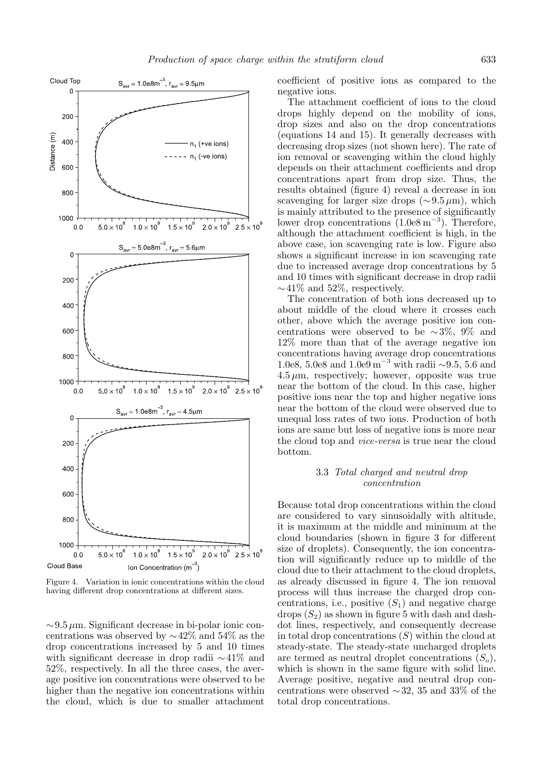

Figure 4. Variation in ionic concentrations within the cloud having different drop concentrations at different sizes.

<sup>∼</sup>9.<sup>5</sup> <sup>μ</sup>m. Significant decrease in bi-polar ionic concentrations was observed by ∼42% and 54% as the drop concentrations increased by 5 and 10 times with significant decrease in drop radii ∼41% and 52%, respectively. In all the three cases, the average positive ion concentrations were observed to be higher than the negative ion concentrations within the cloud, which is due to smaller attachment coefficient of positive ions as compared to the negative ions.

The attachment coefficient of ions to the cloud drops highly depend on the mobility of ions, drop sizes and also on the drop concentrations (equations 14 and 15). It generally decreases with decreasing drop sizes (not shown here). The rate of ion removal or scavenging within the cloud highly depends on their attachment coefficients and drop concentrations apart from drop size. Thus, the results obtained (figure 4) reveal a decrease in ion scavenging for larger size drops ( $\sim 9.5 \,\mu\text{m}$ ), which is mainly attributed to the presence of significantly lower drop concentrations  $(1.0e8 \,\mathrm{m}^{-3})$ . Therefore, although the attachment coefficient is high, in the above case, ion scavenging rate is low. Figure also shows a significant increase in ion scavenging rate due to increased average drop concentrations by 5 and 10 times with significant decrease in drop radii  $\sim$ 41% and 52%, respectively.

The concentration of both ions decreased up to about middle of the cloud where it crosses each other, above which the average positive ion concentrations were observed to be  $\sim$ 3%, 9% and 12% more than that of the average negative ion concentrations having average drop concentrations 1.0e8, 5.0e8 and 1.0e9 m<sup>-3</sup> with radii ∼9.5, 5.6 and  $4.5 \mu$ m, respectively; however, opposite was true near the bottom of the cloud. In this case, higher positive ions near the top and higher negative ions near the bottom of the cloud were observed due to unequal loss rates of two ions. Production of both ions are same but loss of negative ions is more near the cloud top and *vice-versa* is true near the cloud bottom.

# 3.3 *Total charged and neutral drop concentration*

Because total drop concentrations within the cloud are considered to vary sinusoidally with altitude, it is maximum at the middle and minimum at the cloud boundaries (shown in figure 3 for different size of droplets). Consequently, the ion concentration will significantly reduce up to middle of the cloud due to their attachment to the cloud droplets, as already discussed in figure 4. The ion removal process will thus increase the charged drop concentrations, i.e., positive  $(S_1)$  and negative charge drops  $(S_2)$  as shown in figure 5 with dash and dashdot lines, respectively, and consequently decrease in total drop concentrations  $(S)$  within the cloud at steady-state. The steady-state uncharged droplets are termed as neutral droplet concentrations  $(S_o)$ , which is shown in the same figure with solid line. Average positive, negative and neutral drop concentrations were observed ∼32, 35 and 33% of the total drop concentrations.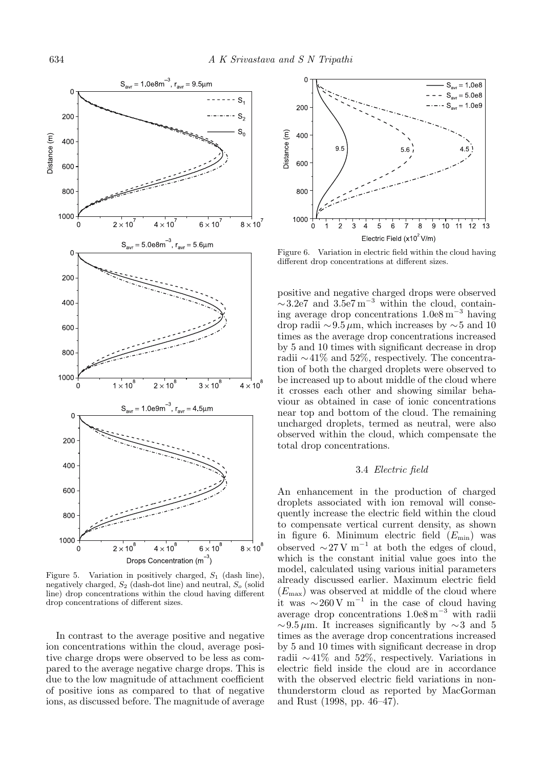

Figure 5. Variation in positively charged,  $S_1$  (dash line), negatively charged, S<sup>2</sup> (dash-dot line) and neutral, S*<sup>o</sup>* (solid line) drop concentrations within the cloud having different drop concentrations of different sizes.

In contrast to the average positive and negative ion concentrations within the cloud, average positive charge drops were observed to be less as compared to the average negative charge drops. This is due to the low magnitude of attachment coefficient of positive ions as compared to that of negative ions, as discussed before. The magnitude of average



Figure 6. Variation in electric field within the cloud having different drop concentrations at different sizes.

positive and negative charged drops were observed  $\sim$ 3.2e7 and 3.5e7 m<sup>-3</sup> within the cloud, containing average drop concentrations 1.0e8 m−<sup>3</sup> having drop radii  $\sim 9.5 \mu$ m, which increases by  $\sim 5$  and 10 times as the average drop concentrations increased by 5 and 10 times with significant decrease in drop radii ∼41% and 52%, respectively. The concentration of both the charged droplets were observed to be increased up to about middle of the cloud where it crosses each other and showing similar behaviour as obtained in case of ionic concentrations near top and bottom of the cloud. The remaining uncharged droplets, termed as neutral, were also observed within the cloud, which compensate the total drop concentrations.

#### 3.4 *Electric field*

An enhancement in the production of charged droplets associated with ion removal will consequently increase the electric field within the cloud to compensate vertical current density, as shown in figure 6. Minimum electric field  $(E_{\text{min}})$  was observed  $\sim$  27 V m<sup>-1</sup> at both the edges of cloud, which is the constant initial value goes into the model, calculated using various initial parameters already discussed earlier. Maximum electric field  $(E_{\text{max}})$  was observed at middle of the cloud where it was  $\sim 260 \text{ V m}^{-1}$  in the case of cloud having average drop concentrations 1.0e8 m−<sup>3</sup> with radii  $\sim$ 9.5 μm. It increases significantly by  $\sim$ 3 and 5 times as the average drop concentrations increased by 5 and 10 times with significant decrease in drop radii ∼41% and 52%, respectively. Variations in electric field inside the cloud are in accordance with the observed electric field variations in nonthunderstorm cloud as reported by MacGorman and Rust (1998, pp. 46–47).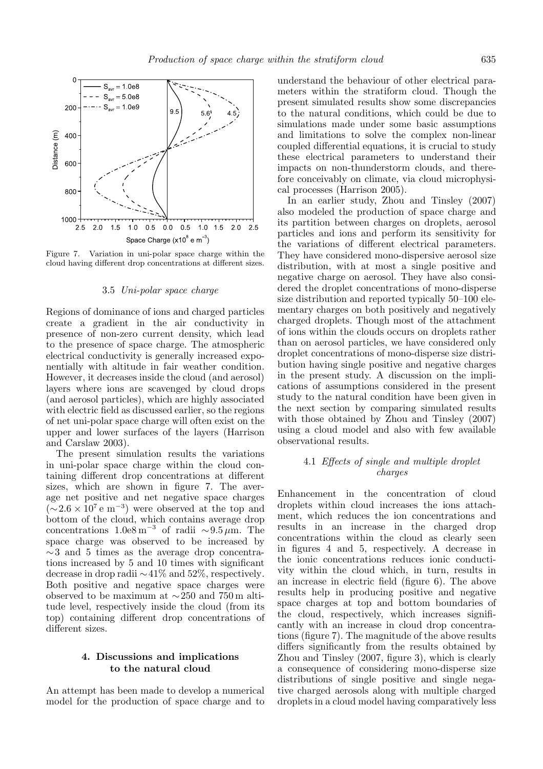

Figure 7. Variation in uni-polar space charge within the cloud having different drop concentrations at different sizes.

#### 3.5 *Uni-polar space charge*

Regions of dominance of ions and charged particles create a gradient in the air conductivity in presence of non-zero current density, which lead to the presence of space charge. The atmospheric electrical conductivity is generally increased exponentially with altitude in fair weather condition. However, it decreases inside the cloud (and aerosol) layers where ions are scavenged by cloud drops (and aerosol particles), which are highly associated with electric field as discussed earlier, so the regions of net uni-polar space charge will often exist on the upper and lower surfaces of the layers (Harrison and Carslaw 2003).

The present simulation results the variations in uni-polar space charge within the cloud containing different drop concentrations at different sizes, which are shown in figure 7. The average net positive and net negative space charges  $(\sim 2.6 \times 10^7 \text{ e m}^{-3})$  were observed at the top and bottom of the cloud, which contains average drop concentrations  $1.0e8 \text{ m}^{-3}$  of radii ~9.5 μm. The space charge was observed to be increased by  $\sim$ 3 and 5 times as the average drop concentrations increased by 5 and 10 times with significant decrease in drop radii ∼41% and 52%, respectively. Both positive and negative space charges were observed to be maximum at ∼250 and 750 m altitude level, respectively inside the cloud (from its top) containing different drop concentrations of different sizes.

# **4. Discussions and implications to the natural cloud**

An attempt has been made to develop a numerical model for the production of space charge and to understand the behaviour of other electrical parameters within the stratiform cloud. Though the present simulated results show some discrepancies to the natural conditions, which could be due to simulations made under some basic assumptions and limitations to solve the complex non-linear coupled differential equations, it is crucial to study these electrical parameters to understand their impacts on non-thunderstorm clouds, and therefore conceivably on climate, via cloud microphysical processes (Harrison 2005).

In an earlier study, Zhou and Tinsley (2007) also modeled the production of space charge and its partition between charges on droplets, aerosol particles and ions and perform its sensitivity for the variations of different electrical parameters. They have considered mono-dispersive aerosol size distribution, with at most a single positive and negative charge on aerosol. They have also considered the droplet concentrations of mono-disperse size distribution and reported typically 50–100 elementary charges on both positively and negatively charged droplets. Though most of the attachment of ions within the clouds occurs on droplets rather than on aerosol particles, we have considered only droplet concentrations of mono-disperse size distribution having single positive and negative charges in the present study. A discussion on the implications of assumptions considered in the present study to the natural condition have been given in the next section by comparing simulated results with those obtained by Zhou and Tinsley (2007) using a cloud model and also with few available observational results.

# 4.1 *Effects of single and multiple droplet charges*

Enhancement in the concentration of cloud droplets within cloud increases the ions attachment, which reduces the ion concentrations and results in an increase in the charged drop concentrations within the cloud as clearly seen in figures 4 and 5, respectively. A decrease in the ionic concentrations reduces ionic conductivity within the cloud which, in turn, results in an increase in electric field (figure 6). The above results help in producing positive and negative space charges at top and bottom boundaries of the cloud, respectively, which increases significantly with an increase in cloud drop concentrations (figure 7). The magnitude of the above results differs significantly from the results obtained by Zhou and Tinsley (2007, figure 3), which is clearly a consequence of considering mono-disperse size distributions of single positive and single negative charged aerosols along with multiple charged droplets in a cloud model having comparatively less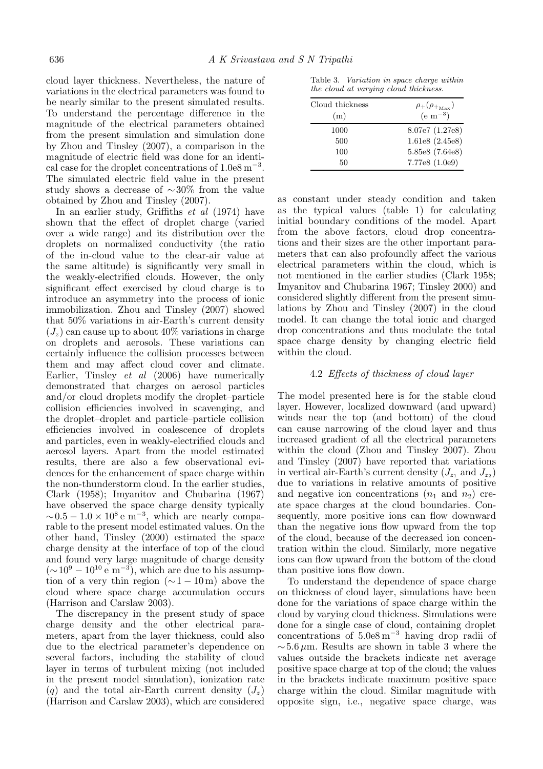cloud layer thickness. Nevertheless, the nature of variations in the electrical parameters was found to be nearly similar to the present simulated results. To understand the percentage difference in the magnitude of the electrical parameters obtained from the present simulation and simulation done by Zhou and Tinsley (2007), a comparison in the magnitude of electric field was done for an identical case for the droplet concentrations of  $1.0e8 \text{ m}^{-3}$ . The simulated electric field value in the present study shows a decrease of ∼30% from the value obtained by Zhou and Tinsley (2007).

In an earlier study, Griffiths *et al* (1974) have shown that the effect of droplet charge (varied over a wide range) and its distribution over the droplets on normalized conductivity (the ratio of the in-cloud value to the clear-air value at the same altitude) is significantly very small in the weakly-electrified clouds. However, the only significant effect exercised by cloud charge is to introduce an asymmetry into the process of ionic immobilization. Zhou and Tinsley (2007) showed that 50% variations in air-Earth's current density  $(J_z)$  can cause up to about  $40\%$  variations in charge on droplets and aerosols. These variations can certainly influence the collision processes between them and may affect cloud cover and climate. Earlier, Tinsley *et al* (2006) have numerically demonstrated that charges on aerosol particles and/or cloud droplets modify the droplet–particle collision efficiencies involved in scavenging, and the droplet–droplet and particle–particle collision efficiencies involved in coalescence of droplets and particles, even in weakly-electrified clouds and aerosol layers. Apart from the model estimated results, there are also a few observational evidences for the enhancement of space charge within the non-thunderstorm cloud. In the earlier studies, Clark (1958); Imyanitov and Chubarina (1967) have observed the space charge density typically  $\sim 0.5 - 1.0 \times 10^8$  e m<sup>-3</sup>, which are nearly comparable to the present model estimated values. On the other hand, Tinsley (2000) estimated the space charge density at the interface of top of the cloud and found very large magnitude of charge density  $({\sim}10^9 - 10^{10} \text{ e m}^{-3})$ , which are due to his assumption of a very thin region  $(∼1 – 10<sup>m</sup>)$  above the cloud where space charge accumulation occurs (Harrison and Carslaw 2003).

The discrepancy in the present study of space charge density and the other electrical parameters, apart from the layer thickness, could also due to the electrical parameter's dependence on several factors, including the stability of cloud layer in terms of turbulent mixing (not included in the present model simulation), ionization rate (q) and the total air-Earth current density  $(J_z)$ (Harrison and Carslaw 2003), which are considered

Table 3. Variation in space charge within the cloud at varying cloud thickness.

| Cloud thickness | $\rho_{+}(\rho_{+_{\rm Max}})$ |
|-----------------|--------------------------------|
| (m)             | $(e \; \mathrm{m}^{-3})$       |
| 1000            | 8.07e7 (1.27e8)                |
| 500             | 1.61e8(2.45e8)                 |
| 100             | 5.85e8 (7.64e8)                |
| 50              | 7.77e8 (1.0e9)                 |

as constant under steady condition and taken as the typical values (table 1) for calculating initial boundary conditions of the model. Apart from the above factors, cloud drop concentrations and their sizes are the other important parameters that can also profoundly affect the various electrical parameters within the cloud, which is not mentioned in the earlier studies (Clark 1958; Imyanitov and Chubarina 1967; Tinsley 2000) and considered slightly different from the present simulations by Zhou and Tinsley (2007) in the cloud model. It can change the total ionic and charged drop concentrations and thus modulate the total space charge density by changing electric field within the cloud.

## 4.2 *Effects of thickness of cloud layer*

The model presented here is for the stable cloud layer. However, localized downward (and upward) winds near the top (and bottom) of the cloud can cause narrowing of the cloud layer and thus increased gradient of all the electrical parameters within the cloud (Zhou and Tinsley 2007). Zhou and Tinsley (2007) have reported that variations in vertical air-Earth's current density  $(J_{z_1} \text{ and } J_{z_2})$ due to variations in relative amounts of positive and negative ion concentrations  $(n_1 \text{ and } n_2)$  create space charges at the cloud boundaries. Consequently, more positive ions can flow downward than the negative ions flow upward from the top of the cloud, because of the decreased ion concentration within the cloud. Similarly, more negative ions can flow upward from the bottom of the cloud than positive ions flow down.

To understand the dependence of space charge on thickness of cloud layer, simulations have been done for the variations of space charge within the cloud by varying cloud thickness. Simulations were done for a single case of cloud, containing droplet concentrations of 5.0e8 m−<sup>3</sup> having drop radii of  $\sim$  5.6 μm. Results are shown in table 3 where the values outside the brackets indicate net average positive space charge at top of the cloud; the values in the brackets indicate maximum positive space charge within the cloud. Similar magnitude with opposite sign, i.e., negative space charge, was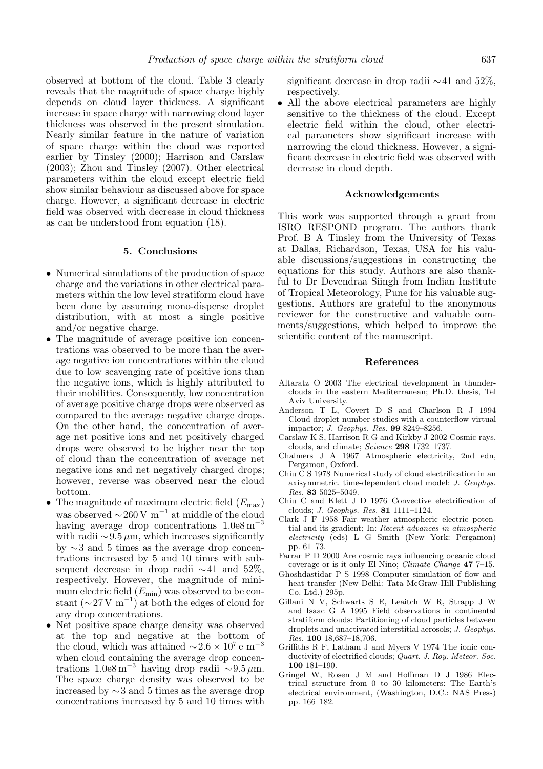observed at bottom of the cloud. Table 3 clearly reveals that the magnitude of space charge highly depends on cloud layer thickness. A significant increase in space charge with narrowing cloud layer thickness was observed in the present simulation. Nearly similar feature in the nature of variation of space charge within the cloud was reported earlier by Tinsley (2000); Harrison and Carslaw (2003); Zhou and Tinsley (2007). Other electrical parameters within the cloud except electric field show similar behaviour as discussed above for space charge. However, a significant decrease in electric field was observed with decrease in cloud thickness as can be understood from equation (18).

## **5. Conclusions**

- Numerical simulations of the production of space charge and the variations in other electrical parameters within the low level stratiform cloud have been done by assuming mono-disperse droplet distribution, with at most a single positive and/or negative charge.
- The magnitude of average positive ion concentrations was observed to be more than the average negative ion concentrations within the cloud due to low scavenging rate of positive ions than the negative ions, which is highly attributed to their mobilities. Consequently, low concentration of average positive charge drops were observed as compared to the average negative charge drops. On the other hand, the concentration of average net positive ions and net positively charged drops were observed to be higher near the top of cloud than the concentration of average net negative ions and net negatively charged drops; however, reverse was observed near the cloud bottom.
- The magnitude of maximum electric field  $(E_{\text{max}})$ was observed  $\sim$ 260 V m<sup>-1</sup> at middle of the cloud having average drop concentrations  $1.0e8 \text{ m}^{-3}$ with radii  $\sim$ 9.5  $\mu$ m, which increases significantly by ∼3 and 5 times as the average drop concentrations increased by 5 and 10 times with subsequent decrease in drop radii ∼41 and 52%, respectively. However, the magnitude of minimum electric field  $(E_{\text{min}})$  was observed to be constant  $({\sim}27\,\mathrm{V~m}^{-1})$  at both the edges of cloud for any drop concentrations.
- Net positive space charge density was observed at the top and negative at the bottom of the cloud, which was attained  $\sim$ 2.6 × 10<sup>7</sup> e m<sup>-3</sup> when cloud containing the average drop concentrations 1.0e8 m<sup>-3</sup> having drop radii ~9.5 μm. The space charge density was observed to be increased by ∼3 and 5 times as the average drop concentrations increased by 5 and 10 times with

significant decrease in drop radii ∼41 and 52%, respectively.

• All the above electrical parameters are highly sensitive to the thickness of the cloud. Except electric field within the cloud, other electrical parameters show significant increase with narrowing the cloud thickness. However, a significant decrease in electric field was observed with decrease in cloud depth.

## **Acknowledgements**

This work was supported through a grant from ISRO RESPOND program. The authors thank Prof. B A Tinsley from the University of Texas at Dallas, Richardson, Texas, USA for his valuable discussions/suggestions in constructing the equations for this study. Authors are also thankful to Dr Devendraa Siingh from Indian Institute of Tropical Meteorology, Pune for his valuable suggestions. Authors are grateful to the anonymous reviewer for the constructive and valuable comments/suggestions, which helped to improve the scientific content of the manuscript.

#### **References**

- Altaratz O 2003 The electrical development in thunderclouds in the eastern Mediterranean; Ph.D. thesis, Tel Aviv University.
- Anderson T L, Covert D S and Charlson R J 1994 Cloud droplet number studies with a counterflow virtual impactor; J. Geophys. Res. **99** 8249–8256.
- Carslaw K S, Harrison R G and Kirkby J 2002 Cosmic rays, clouds, and climate; Science **298** 1732–1737.
- Chalmers J A 1967 Atmospheric electricity, 2nd edn, Pergamon, Oxford.
- Chiu C S 1978 Numerical study of cloud electrification in an axisymmetric, time-dependent cloud model; J. Geophys. Res. **83** 5025–5049.
- Chiu C and Klett J D 1976 Convective electrification of clouds; J. Geophys. Res. **81** 1111–1124.
- Clark J F 1958 Fair weather atmospheric electric potential and its gradient; In: Recent advances in atmospheric electricity (eds) L G Smith (New York: Pergamon) pp. 61–73.
- Farrar P D 2000 Are cosmic rays influencing oceanic cloud coverage or is it only El Nino; Climate Change **47** 7–15.
- Ghoshdastidar P S 1998 Computer simulation of flow and heat transfer (New Delhi: Tata McGraw-Hill Publishing Co. Ltd.) 295p.
- Gillani N V, Schwarts S E, Leaitch W R, Strapp J W and Isaac G A 1995 Field observations in continental stratiform clouds: Partitioning of cloud particles between droplets and unactivated interstitial aerosols; J. Geophys. Res. **100** 18,687–18,706.
- Griffiths R F, Latham J and Myers V 1974 The ionic conductivity of electrified clouds; Quart. J. Roy. Meteor. Soc. **100** 181–190.
- Gringel W, Rosen J M and Hoffman D J 1986 Electrical structure from 0 to 30 kilometers: The Earth's electrical environment, (Washington, D.C.: NAS Press) pp. 166–182.